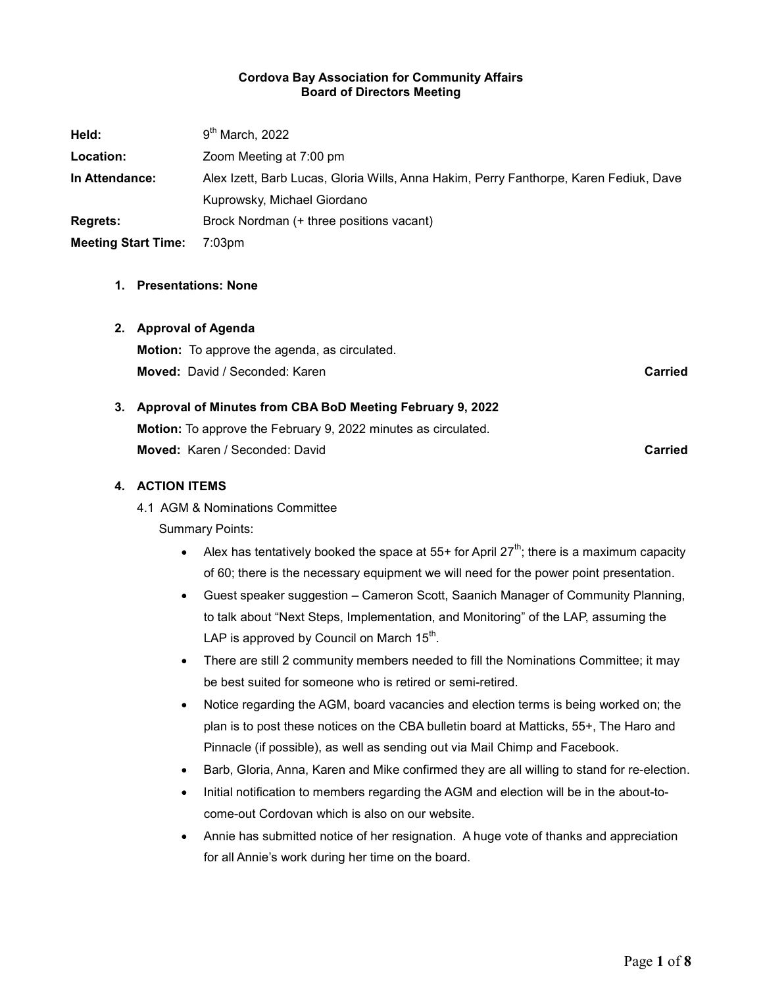#### Cordova Bay Association for Community Affairs Board of Directors Meeting

| Held:                      | $9th$ March, 2022                                                                     |
|----------------------------|---------------------------------------------------------------------------------------|
| Location:                  | Zoom Meeting at 7:00 pm                                                               |
| In Attendance:             | Alex Izett, Barb Lucas, Gloria Wills, Anna Hakim, Perry Fanthorpe, Karen Fediuk, Dave |
|                            | Kuprowsky, Michael Giordano                                                           |
| <b>Regrets:</b>            | Brock Nordman (+ three positions vacant)                                              |
| <b>Meeting Start Time:</b> | $7:03$ pm                                                                             |

#### 1. Presentations: None

#### 2. Approval of Agenda

Motion: To approve the agenda, as circulated. **Moved:** David / Seconded: Karen Carried Carried Carried Carried Carried Carried Carried

# 3. Approval of Minutes from CBA BoD Meeting February 9, 2022

Motion: To approve the February 9, 2022 minutes as circulated. **Moved:** Karen / Seconded: David Carried Carried Carried Carried

#### 4. ACTION ITEMS

4.1 AGM & Nominations Committee

- Alex has tentatively booked the space at 55+ for April 27<sup>th</sup>; there is a maximum capacity of 60; there is the necessary equipment we will need for the power point presentation.
- Guest speaker suggestion Cameron Scott, Saanich Manager of Community Planning, to talk about "Next Steps, Implementation, and Monitoring" of the LAP, assuming the LAP is approved by Council on March 15 $^{\text{th}}$ .
- There are still 2 community members needed to fill the Nominations Committee; it may be best suited for someone who is retired or semi-retired.
- Notice regarding the AGM, board vacancies and election terms is being worked on; the plan is to post these notices on the CBA bulletin board at Matticks, 55+, The Haro and Pinnacle (if possible), as well as sending out via Mail Chimp and Facebook.
- Barb, Gloria, Anna, Karen and Mike confirmed they are all willing to stand for re-election.
- Initial notification to members regarding the AGM and election will be in the about-tocome-out Cordovan which is also on our website.
- Annie has submitted notice of her resignation. A huge vote of thanks and appreciation for all Annie's work during her time on the board.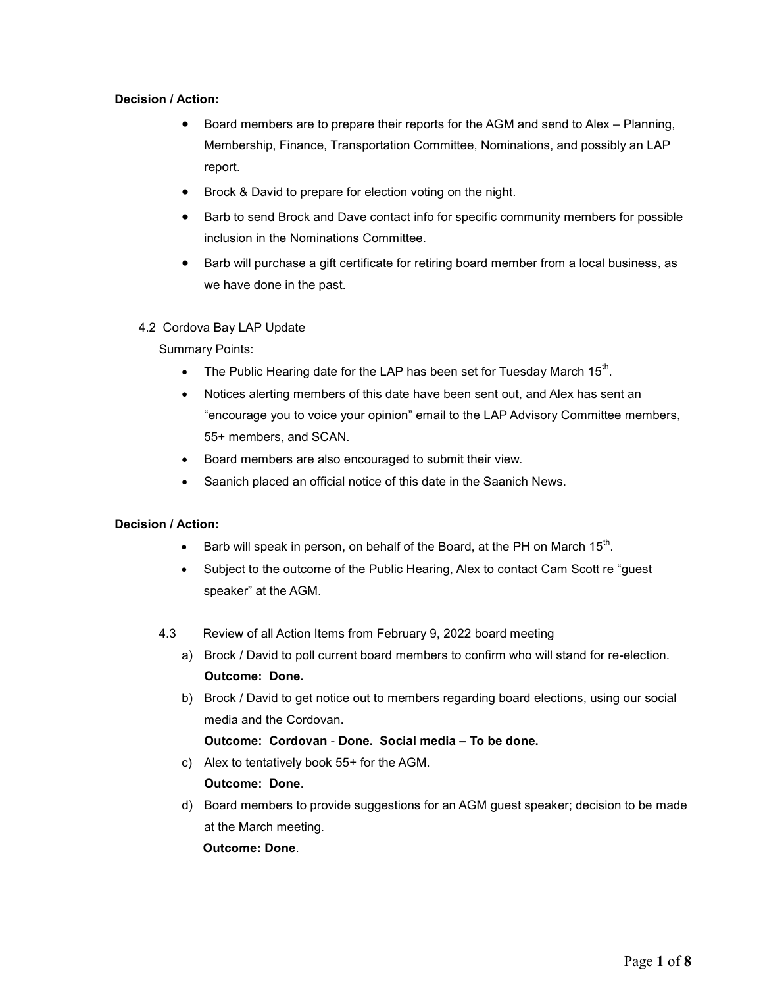#### Decision / Action:

- Board members are to prepare their reports for the AGM and send to Alex Planning, Membership, Finance, Transportation Committee, Nominations, and possibly an LAP report.
- Brock & David to prepare for election voting on the night.
- Barb to send Brock and Dave contact info for specific community members for possible inclusion in the Nominations Committee.
- Barb will purchase a gift certificate for retiring board member from a local business, as we have done in the past.

#### 4.2 Cordova Bay LAP Update

Summary Points:

- The Public Hearing date for the LAP has been set for Tuesday March 15<sup>th</sup>.
- Notices alerting members of this date have been sent out, and Alex has sent an "encourage you to voice your opinion" email to the LAP Advisory Committee members, 55+ members, and SCAN.
- Board members are also encouraged to submit their view.
- Saanich placed an official notice of this date in the Saanich News.

#### Decision / Action:

- $\bullet$  Barb will speak in person, on behalf of the Board, at the PH on March 15<sup>th</sup>.
- Subject to the outcome of the Public Hearing, Alex to contact Cam Scott re "guest speaker" at the AGM.
- 4.3 Review of all Action Items from February 9, 2022 board meeting
	- a) Brock / David to poll current board members to confirm who will stand for re-election. Outcome: Done.
	- b) Brock / David to get notice out to members regarding board elections, using our social media and the Cordovan.

# Outcome: Cordovan - Done. Social media – To be done.

c) Alex to tentatively book 55+ for the AGM.

#### Outcome: Done.

d) Board members to provide suggestions for an AGM guest speaker; decision to be made at the March meeting.

#### Outcome: Done.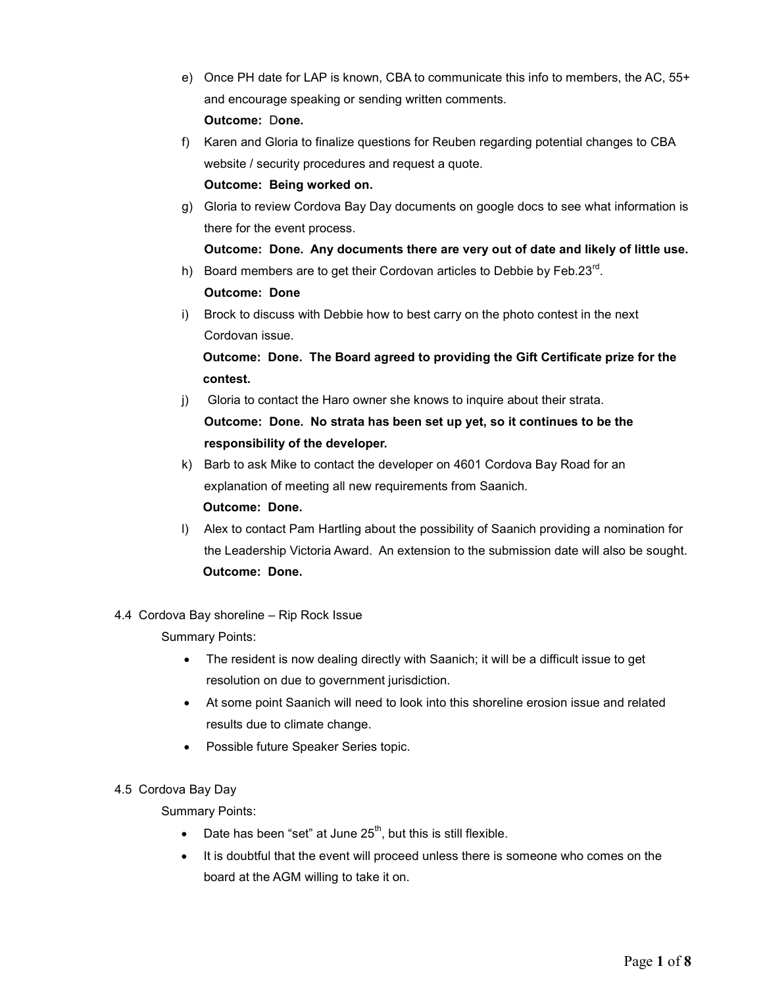- e) Once PH date for LAP is known, CBA to communicate this info to members, the AC, 55+ and encourage speaking or sending written comments. Outcome: Done.
- f) Karen and Gloria to finalize questions for Reuben regarding potential changes to CBA website / security procedures and request a quote.

#### Outcome: Being worked on.

g) Gloria to review Cordova Bay Day documents on google docs to see what information is there for the event process.

# Outcome: Done. Any documents there are very out of date and likely of little use.

h) Board members are to get their Cordovan articles to Debbie by Feb.23 $^{\text{rd}}$ .

# Outcome: Done

i) Brock to discuss with Debbie how to best carry on the photo contest in the next Cordovan issue.

# Outcome: Done. The Board agreed to providing the Gift Certificate prize for the contest.

- j) Gloria to contact the Haro owner she knows to inquire about their strata. Outcome: Done. No strata has been set up yet, so it continues to be the responsibility of the developer.
- k) Barb to ask Mike to contact the developer on 4601 Cordova Bay Road for an explanation of meeting all new requirements from Saanich. Outcome: Done.
- l) Alex to contact Pam Hartling about the possibility of Saanich providing a nomination for the Leadership Victoria Award. An extension to the submission date will also be sought. Outcome: Done.

# 4.4 Cordova Bay shoreline – Rip Rock Issue

Summary Points:

- The resident is now dealing directly with Saanich; it will be a difficult issue to get resolution on due to government jurisdiction.
- At some point Saanich will need to look into this shoreline erosion issue and related results due to climate change.
- Possible future Speaker Series topic.

# 4.5 Cordova Bay Day

- Date has been "set" at June  $25<sup>th</sup>$ , but this is still flexible.
- It is doubtful that the event will proceed unless there is someone who comes on the board at the AGM willing to take it on.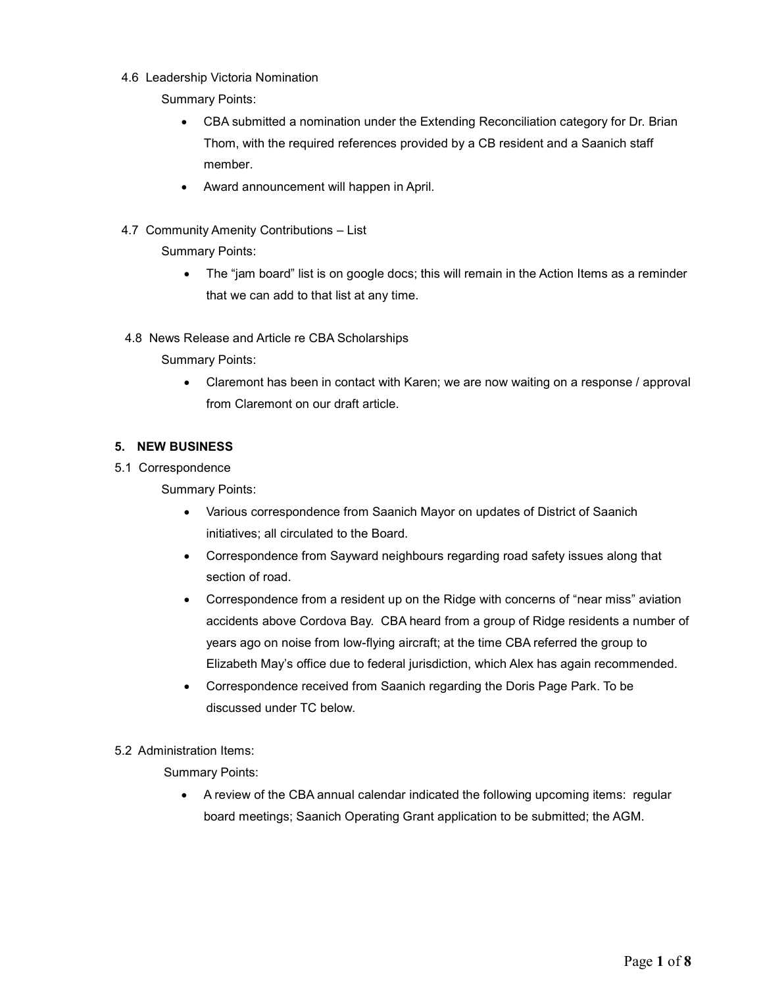- 4.6 Leadership Victoria Nomination
	- Summary Points:
		- CBA submitted a nomination under the Extending Reconciliation category for Dr. Brian Thom, with the required references provided by a CB resident and a Saanich staff member.
		- Award announcement will happen in April.
- 4.7 Community Amenity Contributions List

Summary Points:

- The "jam board" list is on google docs; this will remain in the Action Items as a reminder that we can add to that list at any time.
- 4.8 News Release and Article re CBA Scholarships

Summary Points:

 Claremont has been in contact with Karen; we are now waiting on a response / approval from Claremont on our draft article.

# 5. NEW BUSINESS

5.1 Correspondence

Summary Points:

- Various correspondence from Saanich Mayor on updates of District of Saanich initiatives; all circulated to the Board.
- Correspondence from Sayward neighbours regarding road safety issues along that section of road.
- Correspondence from a resident up on the Ridge with concerns of "near miss" aviation accidents above Cordova Bay. CBA heard from a group of Ridge residents a number of years ago on noise from low-flying aircraft; at the time CBA referred the group to Elizabeth May's office due to federal jurisdiction, which Alex has again recommended.
- Correspondence received from Saanich regarding the Doris Page Park. To be discussed under TC below.

5.2 Administration Items:

Summary Points:

 A review of the CBA annual calendar indicated the following upcoming items: regular board meetings; Saanich Operating Grant application to be submitted; the AGM.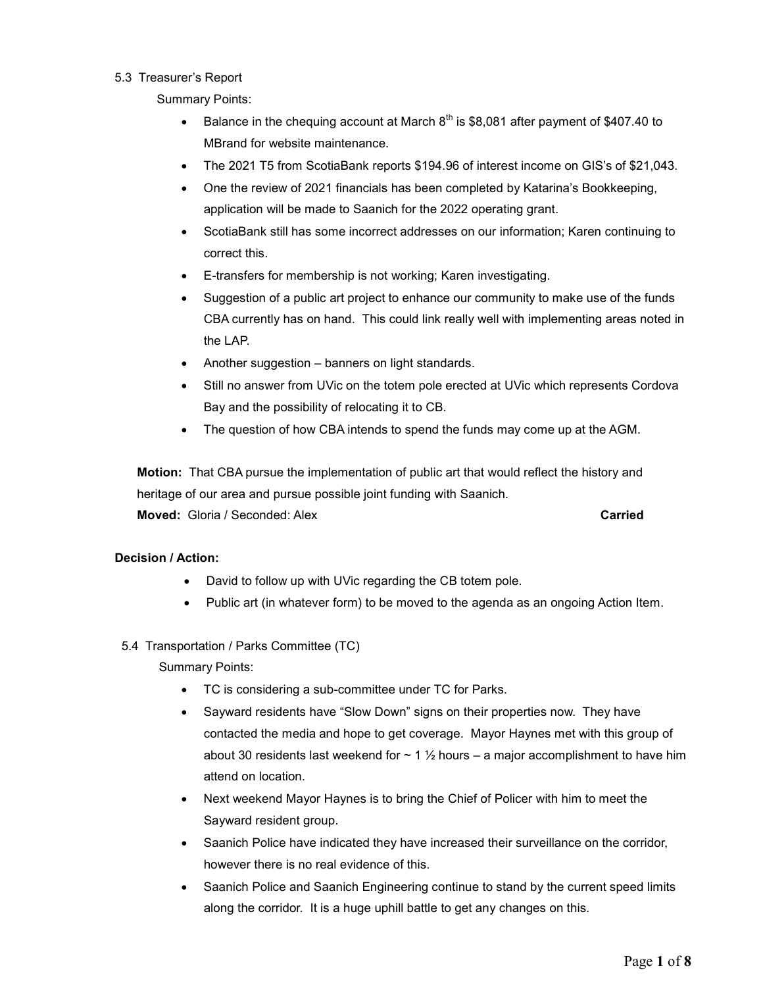#### 5.3 Treasurer's Report

Summary Points:

- Balance in the chequing account at March  $8<sup>th</sup>$  is \$8,081 after payment of \$407.40 to MBrand for website maintenance.
- The 2021 T5 from ScotiaBank reports \$194.96 of interest income on GIS's of \$21,043.
- One the review of 2021 financials has been completed by Katarina's Bookkeeping, application will be made to Saanich for the 2022 operating grant.
- ScotiaBank still has some incorrect addresses on our information; Karen continuing to correct this.
- E-transfers for membership is not working; Karen investigating.
- Suggestion of a public art project to enhance our community to make use of the funds CBA currently has on hand. This could link really well with implementing areas noted in the LAP.
- Another suggestion banners on light standards.
- Still no answer from UVic on the totem pole erected at UVic which represents Cordova Bay and the possibility of relocating it to CB.
- The question of how CBA intends to spend the funds may come up at the AGM.

Motion: That CBA pursue the implementation of public art that would reflect the history and heritage of our area and pursue possible joint funding with Saanich.

**Moved:** Gloria / Seconded: Alex **Carried** Carried Carried

# Decision / Action:

- David to follow up with UVic regarding the CB totem pole.
- Public art (in whatever form) to be moved to the agenda as an ongoing Action Item.
- 5.4 Transportation / Parks Committee (TC)

- TC is considering a sub-committee under TC for Parks.
- Sayward residents have "Slow Down" signs on their properties now. They have contacted the media and hope to get coverage. Mayor Haynes met with this group of about 30 residents last weekend for  $\sim 1 \frac{1}{2}$  hours – a major accomplishment to have him attend on location.
- Next weekend Mayor Haynes is to bring the Chief of Policer with him to meet the Sayward resident group.
- Saanich Police have indicated they have increased their surveillance on the corridor, however there is no real evidence of this.
- Saanich Police and Saanich Engineering continue to stand by the current speed limits along the corridor. It is a huge uphill battle to get any changes on this.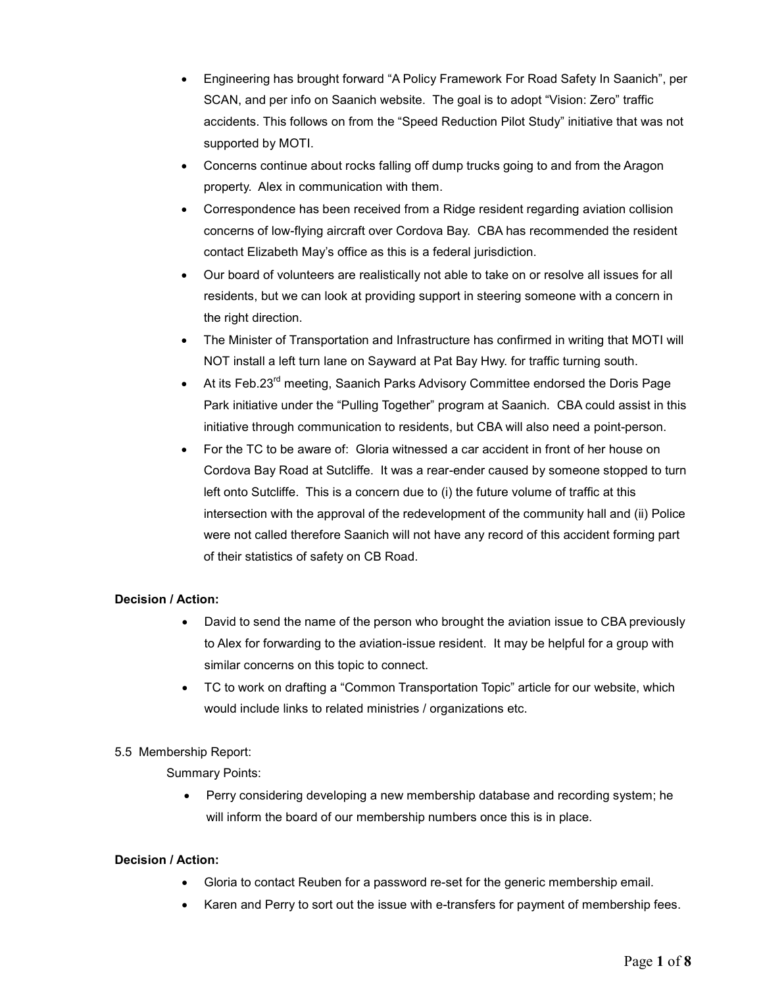- Engineering has brought forward "A Policy Framework For Road Safety In Saanich", per SCAN, and per info on Saanich website. The goal is to adopt "Vision: Zero" traffic accidents. This follows on from the "Speed Reduction Pilot Study" initiative that was not supported by MOTI.
- Concerns continue about rocks falling off dump trucks going to and from the Aragon property. Alex in communication with them.
- Correspondence has been received from a Ridge resident regarding aviation collision concerns of low-flying aircraft over Cordova Bay. CBA has recommended the resident contact Elizabeth May's office as this is a federal jurisdiction.
- Our board of volunteers are realistically not able to take on or resolve all issues for all residents, but we can look at providing support in steering someone with a concern in the right direction.
- The Minister of Transportation and Infrastructure has confirmed in writing that MOTI will NOT install a left turn lane on Sayward at Pat Bay Hwy. for traffic turning south.
- At its Feb.23<sup>rd</sup> meeting, Saanich Parks Advisory Committee endorsed the Doris Page Park initiative under the "Pulling Together" program at Saanich. CBA could assist in this initiative through communication to residents, but CBA will also need a point-person.
- For the TC to be aware of: Gloria witnessed a car accident in front of her house on Cordova Bay Road at Sutcliffe. It was a rear-ender caused by someone stopped to turn left onto Sutcliffe. This is a concern due to (i) the future volume of traffic at this intersection with the approval of the redevelopment of the community hall and (ii) Police were not called therefore Saanich will not have any record of this accident forming part of their statistics of safety on CB Road.

# Decision / Action:

- David to send the name of the person who brought the aviation issue to CBA previously to Alex for forwarding to the aviation-issue resident. It may be helpful for a group with similar concerns on this topic to connect.
- TC to work on drafting a "Common Transportation Topic" article for our website, which would include links to related ministries / organizations etc.

# 5.5 Membership Report:

Summary Points:

 Perry considering developing a new membership database and recording system; he will inform the board of our membership numbers once this is in place.

#### Decision / Action:

- Gloria to contact Reuben for a password re-set for the generic membership email.
- Karen and Perry to sort out the issue with e-transfers for payment of membership fees.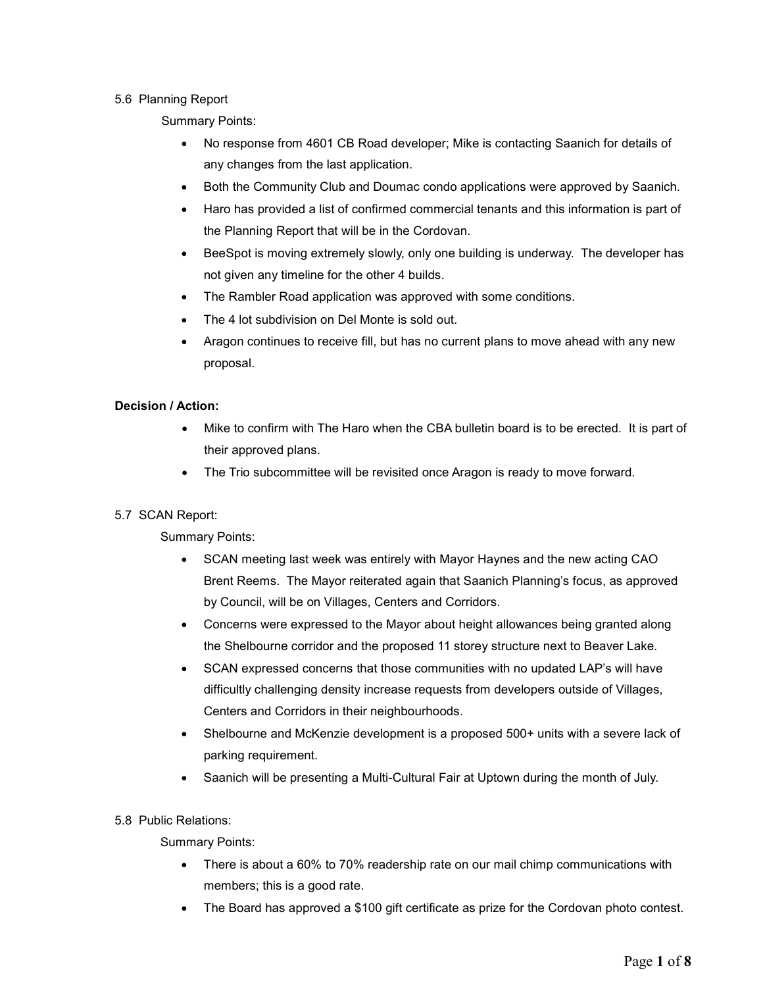#### 5.6 Planning Report

Summary Points:

- No response from 4601 CB Road developer; Mike is contacting Saanich for details of any changes from the last application.
- Both the Community Club and Doumac condo applications were approved by Saanich.
- Haro has provided a list of confirmed commercial tenants and this information is part of the Planning Report that will be in the Cordovan.
- BeeSpot is moving extremely slowly, only one building is underway. The developer has not given any timeline for the other 4 builds.
- The Rambler Road application was approved with some conditions.
- The 4 lot subdivision on Del Monte is sold out.
- Aragon continues to receive fill, but has no current plans to move ahead with any new proposal.

# Decision / Action:

- Mike to confirm with The Haro when the CBA bulletin board is to be erected. It is part of their approved plans.
- The Trio subcommittee will be revisited once Aragon is ready to move forward.

# 5.7 SCAN Report:

Summary Points:

- SCAN meeting last week was entirely with Mayor Haynes and the new acting CAO Brent Reems. The Mayor reiterated again that Saanich Planning's focus, as approved by Council, will be on Villages, Centers and Corridors.
- Concerns were expressed to the Mayor about height allowances being granted along the Shelbourne corridor and the proposed 11 storey structure next to Beaver Lake.
- SCAN expressed concerns that those communities with no updated LAP's will have difficultly challenging density increase requests from developers outside of Villages, Centers and Corridors in their neighbourhoods.
- Shelbourne and McKenzie development is a proposed 500+ units with a severe lack of parking requirement.
- Saanich will be presenting a Multi-Cultural Fair at Uptown during the month of July.

# 5.8 Public Relations:

- There is about a 60% to 70% readership rate on our mail chimp communications with members; this is a good rate.
- The Board has approved a \$100 gift certificate as prize for the Cordovan photo contest.